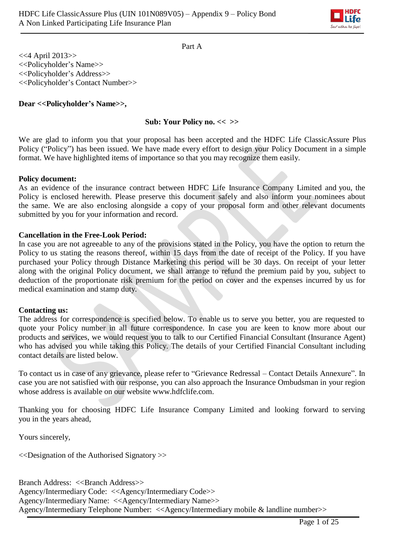

Part A

<<4 April 2013>> <<Policyholder's Name>> <<Policyholder's Address>> <<Policyholder's Contact Number>>

### **Dear <<Policyholder's Name>>,**

### **Sub: Your Policy no. << >>**

We are glad to inform you that your proposal has been accepted and the HDFC Life ClassicAssure Plus Policy ("Policy") has been issued. We have made every effort to design your Policy Document in a simple format. We have highlighted items of importance so that you may recognize them easily.

#### **Policy document:**

As an evidence of the insurance contract between HDFC Life Insurance Company Limited and you, the Policy is enclosed herewith. Please preserve this document safely and also inform your nominees about the same. We are also enclosing alongside a copy of your proposal form and other relevant documents submitted by you for your information and record.

#### **Cancellation in the Free-Look Period:**

In case you are not agreeable to any of the provisions stated in the Policy, you have the option to return the Policy to us stating the reasons thereof, within 15 days from the date of receipt of the Policy. If you have purchased your Policy through Distance Marketing this period will be 30 days. On receipt of your letter along with the original Policy document, we shall arrange to refund the premium paid by you, subject to deduction of the proportionate risk premium for the period on cover and the expenses incurred by us for medical examination and stamp duty.

#### **Contacting us:**

The address for correspondence is specified below. To enable us to serve you better, you are requested to quote your Policy number in all future correspondence. In case you are keen to know more about our products and services, we would request you to talk to our Certified Financial Consultant (Insurance Agent) who has advised you while taking this Policy. The details of your Certified Financial Consultant including contact details are listed below.

To contact us in case of any grievance, please refer to "Grievance Redressal – Contact Details Annexure". In case you are not satisfied with our response, you can also approach the Insurance Ombudsman in your region whose address is available on our website [www.hdfclife.com.](http://www.hdfclife.com/)

Thanking you for choosing HDFC Life Insurance Company Limited and looking forward to serving you in the years ahead,

Yours sincerely,

<<Designation of the Authorised Signatory >>

Branch Address: <<Br/>SBranch Address>> Agency/Intermediary Code: <<Agency/Intermediary Code>> Agency/Intermediary Name: <<Agency/Intermediary Name>> Agency/Intermediary Telephone Number: <<Agency/Intermediary mobile & landline number>>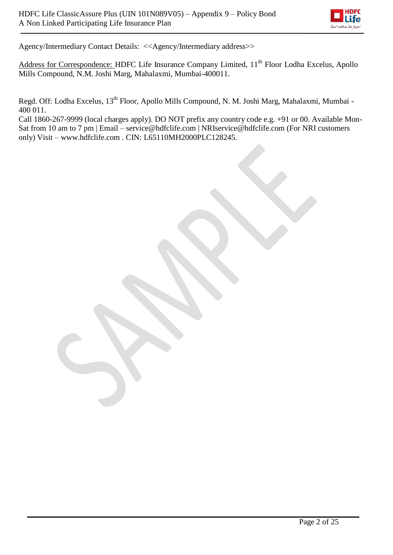

Agency/Intermediary Contact Details: <<Agency/Intermediary address>>

Address for Correspondence: HDFC Life Insurance Company Limited, 11<sup>th</sup> Floor Lodha Excelus, Apollo Mills Compound, N.M. Joshi Marg, Mahalaxmi, Mumbai-400011.

Regd. Off: Lodha Excelus, 13<sup>th</sup> Floor, Apollo Mills Compound, N. M. Joshi Marg, Mahalaxmi, Mumbai -400 011.

Call 1860-267-9999 (local charges apply). DO NOT prefix any country code e.g. +91 or 00. Available Mon-Sat from 10 am to 7 pm | Email – [service@hdfclife.com](mailto:service@hdfclife.com) | [NRIservice@hdfclife.com \(](mailto:NRIservice@hdfclife.com)For NRI customers only) Visit – [www.hdfclife.com](http://www.hdfclife.com/) . CIN: L65110MH2000PLC128245.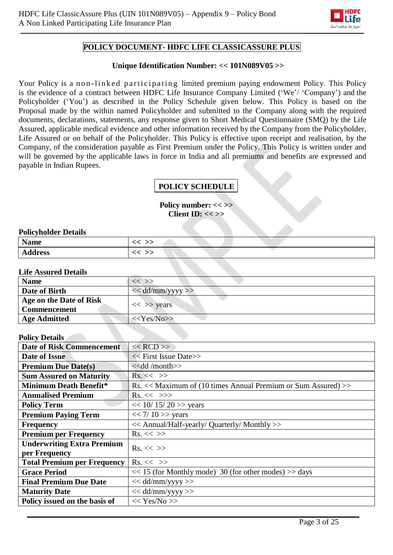

# **POLICY DOCUMENT- HDFC LIFE CLASSICASSURE PLUS**

### **Unique Identification Number: << 101N089V05 >>**

Your Policy is a non-linked participating limited premium paying endowment Policy. This Policy is the evidence of a contract between HDFC Life Insurance Company Limited ('We'/ 'Company') and the Policyholder ('You') as described in the Policy Schedule given below. This Policy is based on the Proposal made by the within named Policyholder and submitted to the Company along with the required documents, declarations, statements, any response given to Short Medical Questionnaire (SMQ) by the Life Assured, applicable medical evidence and other information received by the Company from the Policyholder, Life Assured or on behalf of the Policyholder. This Policy is effective upon receipt and realisation, by the Company, of the consideration payable as First Premium under the Policy. This Policy is written under and will be governed by the applicable laws in force in India and all premiums and benefits are expressed and payable in Indian Rupees.

# **POLICY SCHEDULE**

**Policy number: << >> Client ID: << >>**

#### **Policyholder Details**

| <b>Name</b>    |  |
|----------------|--|
| <b>Address</b> |  |

#### **Life Assured Details**

| <b>Name</b>                                    | $<<$ $>>$            |
|------------------------------------------------|----------------------|
| Date of Birth                                  | $<<$ dd/mm/yyyy $>>$ |
| Age on the Date of Risk<br><b>Commencement</b> | $<<$ >> years        |
| <b>Age Admitted</b>                            | $<<$ Yes/No>>        |

### **Policy Details**

| і унсу ілецію                      |                                                                                 |  |  |  |
|------------------------------------|---------------------------------------------------------------------------------|--|--|--|
| <b>Date of Risk Commencement</b>   | $<<$ RCD $>>$                                                                   |  |  |  |
| Date of Issue                      | << First Issue Date>>                                                           |  |  |  |
| <b>Premium Due Date(s)</b>         | < <dd month="">&gt;</dd>                                                        |  |  |  |
| <b>Sum Assured on Maturity</b>     | $\mathrm{Rs.}<<$ >>                                                             |  |  |  |
| <b>Minimum Death Benefit*</b>      | $\text{Rs.} \ll \text{Maximum of (10 times Annual Premium or Sum Assured)} \gg$ |  |  |  |
| <b>Annualised Premium</b>          | $Rs. \ll \gg>$                                                                  |  |  |  |
| <b>Policy Term</b>                 | $<< 10/15/20$ >> years                                                          |  |  |  |
| <b>Premium Paying Term</b>         | $<< 7/10$ >> years                                                              |  |  |  |
| <b>Frequency</b>                   | << Annual/Half-yearly/ Quarterly/ Monthly >>                                    |  |  |  |
| <b>Premium per Frequency</b>       | $Rs. \ll \gg$                                                                   |  |  |  |
| <b>Underwriting Extra Premium</b>  | $\mathrm{Rs.} \ll \gg$                                                          |  |  |  |
| per Frequency                      |                                                                                 |  |  |  |
| <b>Total Premium per Frequency</b> | $Rs. \ll \gg$                                                                   |  |  |  |
| <b>Grace Period</b>                | $<< 15$ (for Monthly mode) 30 (for other modes) $>>$ days                       |  |  |  |
| <b>Final Premium Due Date</b>      | $<<$ dd/mm/yyyy>>                                                               |  |  |  |
| <b>Maturity Date</b>               | $<<$ dd/mm/yyyy >>                                                              |  |  |  |
| Policy issued on the basis of      | << Yes/No>>                                                                     |  |  |  |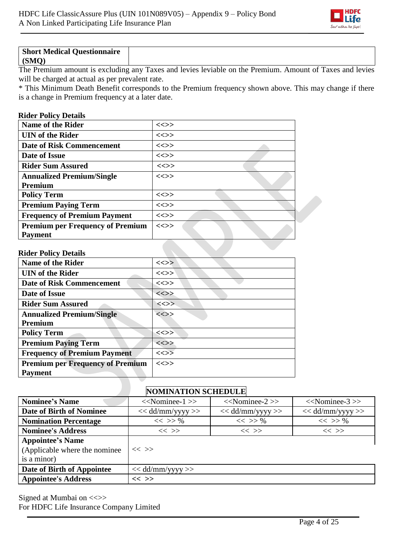

| <b>Short Medical Questionnaire</b> |  |
|------------------------------------|--|
|                                    |  |
| (SMO)                              |  |

The Premium amount is excluding any Taxes and levies leviable on the Premium. Amount of Taxes and levies will be charged at actual as per prevalent rate.

\* This Minimum Death Benefit corresponds to the Premium frequency shown above. This may change if there is a change in Premium frequency at a later date.

## **Rider Policy Details**

| <b>Name of the Rider</b>                | $\ll >>$ |
|-----------------------------------------|----------|
| <b>UIN</b> of the Rider                 | <<>>     |
| <b>Date of Risk Commencement</b>        | $\ll >>$ |
| Date of Issue                           | $\ll >>$ |
| <b>Rider Sum Assured</b>                | <<>>     |
| <b>Annualized Premium/Single</b>        | $\ll >>$ |
| <b>Premium</b>                          |          |
| <b>Policy Term</b>                      | $\ll>>$  |
| <b>Premium Paying Term</b>              | $\ll >>$ |
| <b>Frequency of Premium Payment</b>     | $\ll >>$ |
| <b>Premium per Frequency of Premium</b> | $\iff$   |
| <b>Payment</b>                          |          |

### **Rider Policy Details**

| <b>Name of the Rider</b>                | $\ll>>$                           |
|-----------------------------------------|-----------------------------------|
| <b>UIN</b> of the Rider                 | $\ll >>$                          |
| <b>Date of Risk Commencement</b>        | <<>>                              |
| Date of Issue                           | <<>>                              |
| <b>Rider Sum Assured</b>                | $\langle \langle \rangle \rangle$ |
| <b>Annualized Premium/Single</b>        | <<>>                              |
| <b>Premium</b>                          |                                   |
| <b>Policy Term</b>                      | $\ll>>$                           |
| <b>Premium Paying Term</b>              | <<>>                              |
| <b>Frequency of Premium Payment</b>     | $\ll>>$                           |
| <b>Premium per Frequency of Premium</b> | <<>>                              |
| <b>Payment</b>                          |                                   |

# **NOMINATION SCHEDULE**

| <b>Nominee's Name</b>                                                    | $<<$ Nominee-1 $>>$                                            | $<<$ Nominee-2 $>>$ | $<<$ Nominee-3 $>>$ |  |  |  |  |
|--------------------------------------------------------------------------|----------------------------------------------------------------|---------------------|---------------------|--|--|--|--|
| Date of Birth of Nominee                                                 | $<<$ dd/mm/yyyy >><br>$<<$ dd/mm/yyyy >><br>$<<$ dd/mm/yyyy >> |                     |                     |  |  |  |  |
| <b>Nomination Percentage</b>                                             | $<<$ >> %                                                      | $<<$ >> %           | $<<$ >> %           |  |  |  |  |
| <b>Nominee's Address</b>                                                 | $<<$ >><br>$<<$ >><br>$<<$ >>                                  |                     |                     |  |  |  |  |
| <b>Appointee's Name</b><br>(Applicable where the nominee)<br>is a minor) | $<<$ >>                                                        |                     |                     |  |  |  |  |
| Date of Birth of Appointee                                               | $<<$ dd/mm/yyyy >>                                             |                     |                     |  |  |  |  |
| <b>Appointee's Address</b>                                               | $<<$ >>                                                        |                     |                     |  |  |  |  |

Signed at Mumbai on <<>> For HDFC Life Insurance Company Limited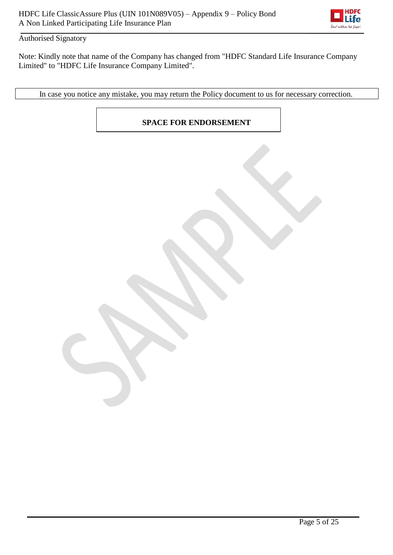

# Authorised Signatory

Note: Kindly note that name of the Company has changed from "HDFC Standard Life Insurance Company Limited" to "HDFC Life Insurance Company Limited".

In case you notice any mistake, you may return the Policy document to us for necessary correction.

**SPACE FOR ENDORSEMENT**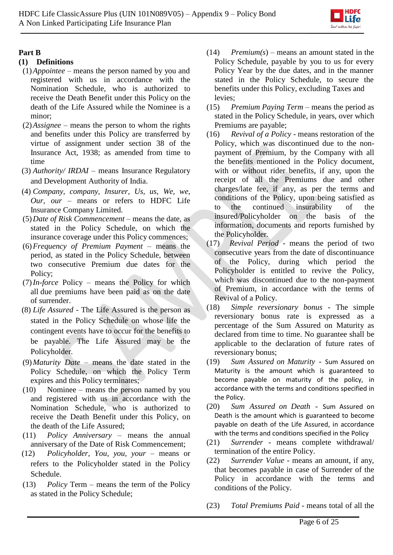

# **Part B**

# **(1) Definitions**

- (1)*Appointee* means the person named by you and registered with us in accordance with the Nomination Schedule, who is authorized to receive the Death Benefit under this Policy on the death of the Life Assured while the Nominee is a minor;
- (2)*Assignee* means the person to whom the rights and benefits under this Policy are transferred by virtue of assignment under section 38 of the Insurance Act, 1938; as amended from time to time
- (3) *Authority/ IRDAI* means Insurance Regulatory and Development Authority of India.
- (4) *Company, company, Insurer, Us, us, We, we, Our, our* – means or refers to HDFC Life Insurance Company Limited.
- (5)*Date of Risk Commencement* means the date, as stated in the Policy Schedule, on which the insurance coverage under this Policy commences;
- (6)*Frequency of Premium Payment* means the period, as stated in the Policy Schedule, between two consecutive Premium due dates for the Policy;
- (7)*In-force* Policy means the Policy for which all due premiums have been paid as on the date of surrender.
- (8) *Life Assured* The Life Assured is the person as stated in the Policy Schedule on whose life the contingent events have to occur for the benefits to be payable. The Life Assured may be the Policyholder.
- (9)*Maturity Date* means the date stated in the Policy Schedule, on which the Policy Term expires and this Policy terminates;
- (10) Nominee means the person named by you and registered with us in accordance with the Nomination Schedule, who is authorized to receive the Death Benefit under this Policy, on the death of the Life Assured;
- (11) *Policy Anniversary* means the annual anniversary of the Date of Risk Commencement;
- (12) *Policyholder, You, you, your*  means or refers to the Policyholder stated in the Policy Schedule.
- (13) *Policy* Term means the term of the Policy as stated in the Policy Schedule;
- (14) *Premium(s*) means an amount stated in the Policy Schedule, payable by you to us for every Policy Year by the due dates, and in the manner stated in the Policy Schedule, to secure the benefits under this Policy, excluding Taxes and levies;
- (15) *Premium Paying Term* means the period as stated in the Policy Schedule, in years, over which Premiums are payable;
- (16) *Revival of a Policy* means restoration of the Policy, which was discontinued due to the nonpayment of Premium, by the Company with all the benefits mentioned in the Policy document, with or without rider benefits, if any, upon the receipt of all the Premiums due and other charges/late fee, if any, as per the terms and conditions of the Policy, upon being satisfied as to the continued insurability of the insured/Policyholder on the basis of the information, documents and reports furnished by the Policyholder.
- (17) *Revival Period* means the period of two consecutive years from the date of discontinuance of the Policy, during which period the Policyholder is entitled to revive the Policy, which was discontinued due to the non-payment of Premium, in accordance with the terms of Revival of a Policy.
- (18) *Simple reversionary bonus* The simple reversionary bonus rate is expressed as a percentage of the Sum Assured on Maturity as declared from time to time. No guarantee shall be applicable to the declaration of future rates of reversionary bonus;
- (19) *Sum Assured on Maturity -* Sum Assured on Maturity is the amount which is guaranteed to become payable on maturity of the policy, in accordance with the terms and conditions specified in the Policy.
- (20) *Sum Assured on Death -* Sum Assured on Death is the amount which is guaranteed to become payable on death of the Life Assured, in accordance with the terms and conditions specified in the Policy
- (21) *Surrender* means complete withdrawal/ termination of the entire Policy.
- (22) *Surrender Value* means an amount, if any, that becomes payable in case of Surrender of the Policy in accordance with the terms and conditions of the Policy.
- (23) *Total Premiums Paid* means total of all the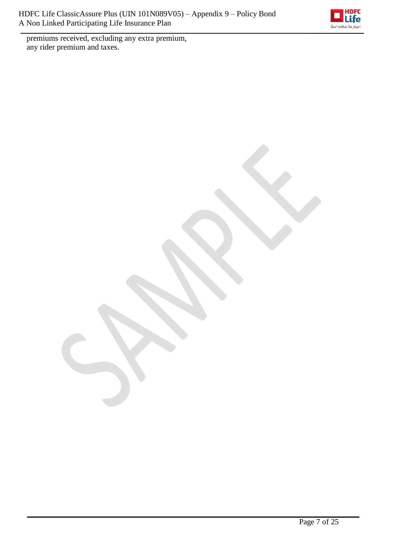

premiums received, excluding any extra premium, any rider premium and taxes.

Page 7 of 25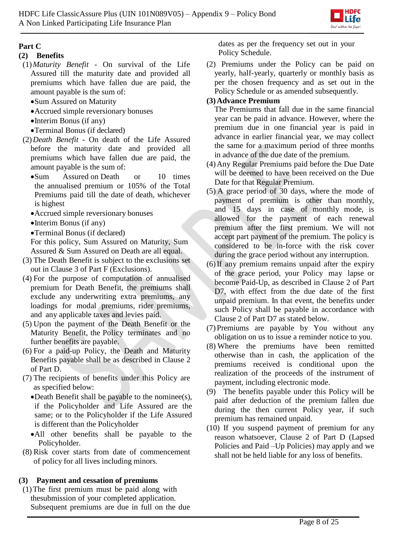

# **Part C**

# **(2) Benefits**

- (1)*Maturity Benefit*  On survival of the Life Assured till the maturity date and provided all premiums which have fallen due are paid, the amount payable is the sum of:
	- Sum Assured on Maturity
	- Accrued simple reversionary bonuses
	- Interim Bonus (if any)
	- Terminal Bonus (if declared)
- (2)*Death Benefit* On death of the Life Assured before the maturity date and provided all premiums which have fallen due are paid, the amount payable is the sum of:
	- Sum Assured on Death or 10 times the annualised premium or 105% of the Total Premiums paid till the date of death, whichever is highest
	- Accrued simple reversionary bonuses
	- Interim Bonus (if any)
	- Terminal Bonus (if declared)

For this policy, Sum Assured on Maturity, Sum Assured & Sum Assured on Death are all equal.

- (3) The Death Benefit is subject to the exclusions set out in Clause 3 of Part F (Exclusions).
- (4) For the purpose of computation of annualised premium for Death Benefit, the premiums shall exclude any underwriting extra premiums, any loadings for modal premiums, rider premiums, and any applicable taxes and levies paid.
- (5) Upon the payment of the Death Benefit or the Maturity Benefit, the Policy terminates and no further benefits are payable.
- (6) For a paid-up Policy, the Death and Maturity Benefits payable shall be as described in Clause 2 of Part D.
- (7) The recipients of benefits under this Policy are as specified below:
	- Death Benefit shall be payable to the nominee(s), if the Policyholder and Life Assured are the same; or to the Policyholder if the Life Assured is different than the Policyholder
	- All other benefits shall be payable to the Policyholder.
- (8) Risk cover starts from date of commencement of policy for all lives including minors.

# **(3) Payment and cessation of premiums**

(1)The first premium must be paid along with thesubmission of your completed application. Subsequent premiums are due in full on the due dates as per the frequency set out in your Policy Schedule.

(2) Premiums under the Policy can be paid on yearly, half-yearly, quarterly or monthly basis as per the chosen frequency and as set out in the Policy Schedule or as amended subsequently.

# **(3)Advance Premium**

The Premiums that fall due in the same financial year can be paid in advance. However, where the premium due in one financial year is paid in advance in earlier financial year, we may collect the same for a maximum period of three months in advance of the due date of the premium.

- (4)Any Regular Premiums paid before the Due Date will be deemed to have been received on the Due Date for that Regular Premium.
- (5) A grace period of 30 days, where the mode of payment of premium is other than monthly, and 15 days in case of monthly mode, is allowed for the payment of each renewal premium after the first premium. We will not accept part payment of the premium. The policy is considered to be in-force with the risk cover during the grace period without any interruption.
- (6)If any premium remains unpaid after the expiry of the grace period, your Policy may lapse or become Paid-Up, as described in Clause 2 of Part D7, with effect from the due date of the first unpaid premium. In that event, the benefits under such Policy shall be payable in accordance with Clause 2 of Part D7 as stated below.
- (7)Premiums are payable by You without any obligation on us to issue a reminder notice to you.
- (8) Where the premiums have been remitted otherwise than in cash, the application of the premiums received is conditional upon the realization of the proceeds of the instrument of payment, including electronic mode.
- (9) The benefits payable under this Policy will be paid after deduction of the premium fallen due during the then current Policy year, if such premium has remained unpaid.
- (10) If you suspend payment of premium for any reason whatsoever, Clause 2 of Part D (Lapsed Policies and Paid –Up Policies) may apply and we shall not be held liable for any loss of benefits.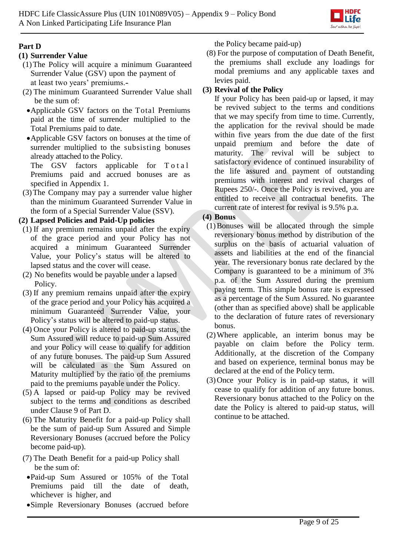

# **Part D**

# **(1) Surrender Value**

- (1)The Policy will acquire a minimum Guaranteed Surrender Value (GSV) upon the payment of at least two years' premiums.-
- (2) The minimum Guaranteed Surrender Value shall be the sum of:
	- Applicable GSV factors on the Total Premiums paid at the time of surrender multiplied to the Total Premiums paid to date.
	- Applicable GSV factors on bonuses at the time of surrender multiplied to the subsisting bonuses already attached to the Policy.

The GSV factors applicable for T o t a l Premiums paid and accrued bonuses are as specified in Appendix 1.

(3)The Company may pay a surrender value higher than the minimum Guaranteed Surrender Value in the form of a Special Surrender Value (SSV).

**(2) Lapsed Policies and Paid-Up policies**

- (1) If any premium remains unpaid after the expiry of the grace period and your Policy has not acquired a minimum Guaranteed Surrender Value, your Policy's status will be altered to lapsed status and the cover will cease.
- (2) No benefits would be payable under a lapsed Policy.
- (3) If any premium remains unpaid after the expiry of the grace period and your Policy has acquired a minimum Guaranteed Surrender Value, your Policy's status will be altered to paid-up status.
- (4) Once your Policy is altered to paid-up status, the Sum Assured will reduce to paid-up Sum Assured and your Policy will cease to qualify for addition of any future bonuses. The paid-up Sum Assured will be calculated as the Sum Assured on Maturity multiplied by the ratio of the premiums paid to the premiums payable under the Policy.
- (5) A lapsed or paid-up Policy may be revived subject to the terms and conditions as described under Clause 9 of Part D.
- (6) The Maturity Benefit for a paid-up Policy shall be the sum of paid-up Sum Assured and Simple Reversionary Bonuses (accrued before the Policy become paid-up).
- (7) The Death Benefit for a paid-up Policy shall be the sum of:
- Paid-up Sum Assured or 105% of the Total Premiums paid till the date of death, whichever is higher, and
- Simple Reversionary Bonuses (accrued before

the Policy became paid-up)

(8) For the purpose of computation of Death Benefit, the premiums shall exclude any loadings for modal premiums and any applicable taxes and levies paid.

# **(3) Revival of the Policy**

If your Policy has been paid-up or lapsed, it may be revived subject to the terms and conditions that we may specify from time to time. Currently, the application for the revival should be made within five years from the due date of the first unpaid premium and before the date of maturity. The revival will be subject to satisfactory evidence of continued insurability of the life assured and payment of outstanding premiums with interest and revival charges of Rupees 250/-. Once the Policy is revived, you are entitled to receive all contractual benefits. The current rate of interest for revival is 9.5% p.a.

# **(4) Bonus**

- (1)Bonuses will be allocated through the simple reversionary bonus method by distribution of the surplus on the basis of actuarial valuation of assets and liabilities at the end of the financial year. The reversionary bonus rate declared by the Company is guaranteed to be a minimum of 3% p.a. of the Sum Assured during the premium paying term. This simple bonus rate is expressed as a percentage of the Sum Assured. No guarantee (other than as specified above) shall be applicable to the declaration of future rates of reversionary bonus.
- (2)Where applicable, an interim bonus may be payable on claim before the Policy term. Additionally, at the discretion of the Company and based on experience, terminal bonus may be declared at the end of the Policy term.
- (3)Once your Policy is in paid-up status, it will cease to qualify for addition of any future bonus. Reversionary bonus attached to the Policy on the date the Policy is altered to paid-up status, will continue to be attached.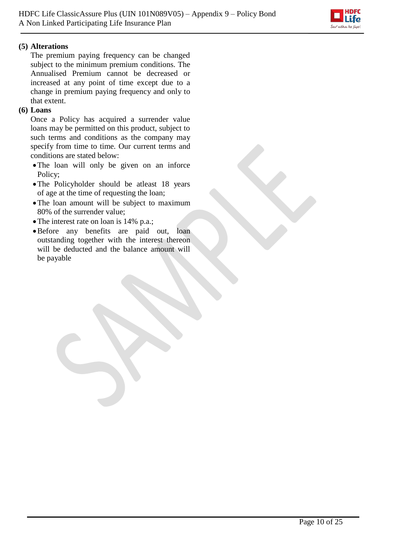

# **(5) Alterations**

The premium paying frequency can be changed subject to the minimum premium conditions. The Annualised Premium cannot be decreased or increased at any point of time except due to a change in premium paying frequency and only to that extent.

## **(6) Loans**

Once a Policy has acquired a surrender value loans may be permitted on this product, subject to such terms and conditions as the company may specify from time to time. Our current terms and conditions are stated below:

- The loan will only be given on an inforce Policy;
- The Policyholder should be atleast 18 years of age at the time of requesting the loan;
- The loan amount will be subject to maximum 80% of the surrender value;
- The interest rate on loan is 14% p.a.;
- Before any benefits are paid out, loan outstanding together with the interest thereon will be deducted and the balance amount will be payable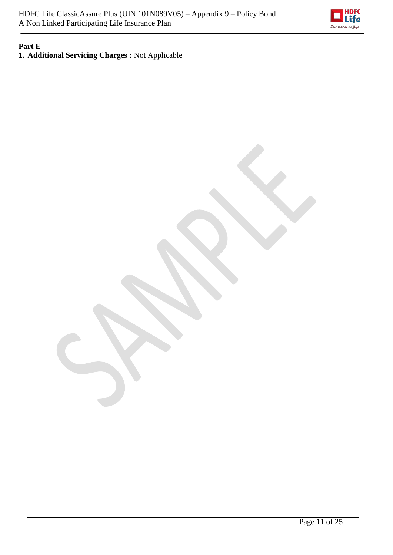

### **Part E 1. Additional Servicing Charges :** Not Applicable

Page 11 of 25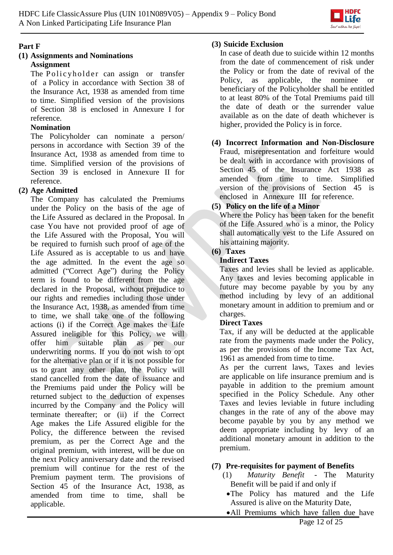

# **Part F**

### **(1) Assignments and Nominations Assignment**

The Policyholder can assign or transfer of a Policy in accordance with Section 38 of the Insurance Act, 1938 as amended from time to time. Simplified version of the provisions of Section 38 is enclosed in Annexure I for reference.

# **Nomination**

The Policyholder can nominate a person/ persons in accordance with Section 39 of the Insurance Act, 1938 as amended from time to time. Simplified version of the provisions of Section 39 is enclosed in Annexure II for reference.

# **(2) Age Admitted**

The Company has calculated the Premiums under the Policy on the basis of the age of the Life Assured as declared in the Proposal. In case You have not provided proof of age of the Life Assured with the Proposal, You will be required to furnish such proof of age of the Life Assured as is acceptable to us and have the age admitted. In the event the age so admitted ("Correct Age") during the Policy term is found to be different from the age declared in the Proposal, without prejudice to our rights and remedies including those under the Insurance Act, 1938, as amended from time to time, we shall take one of the following actions (i) if the Correct Age makes the Life Assured ineligible for this Policy, we will offer him suitable plan as per our underwriting norms. If you do not wish to opt for the alternative plan or if it is not possible for us to grant any other plan, the Policy will stand cancelled from the date of issuance and the Premiums paid under the Policy will be returned subject to the deduction of expenses incurred by the Company and the Policy will terminate thereafter; or (ii) if the Correct Age makes the Life Assured eligible for the Policy, the difference between the revised premium, as per the Correct Age and the original premium, with interest, will be due on the next Policy anniversary date and the revised premium will continue for the rest of the Premium payment term. The provisions of Section 45 of the Insurance Act, 1938, as amended from time to time, shall be applicable.

## **(3) Suicide Exclusion**

In case of death due to suicide within 12 months from the date of commencement of risk under the Policy or from the date of revival of the Policy, as applicable, the nominee or beneficiary of the Policyholder shall be entitled to at least 80% of the Total Premiums paid till the date of death or the surrender value available as on the date of death whichever is higher, provided the Policy is in force.

# **(4) Incorrect Information and Non-Disclosure**

Fraud, misrepresentation and forfeiture would be dealt with in accordance with provisions of Section 45 of the Insurance Act 1938 as amended from time to time. Simplified version of the provisions of Section 45 is enclosed in Annexure III for reference.

# **(5) Policy on the life of a Minor**

Where the Policy has been taken for the benefit of the Life Assured who is a minor, the Policy shall automatically vest to the Life Assured on his attaining majority.

# **(6) Taxes**

## **Indirect Taxes**

Taxes and levies shall be levied as applicable. Any taxes and levies becoming applicable in future may become payable by you by any method including by levy of an additional monetary amount in addition to premium and or charges.

# **Direct Taxes**

Tax, if any will be deducted at the applicable rate from the payments made under the Policy, as per the provisions of the Income Tax Act, 1961 as amended from time to time.

As per the current laws, Taxes and levies are applicable on life insurance premium and is payable in addition to the premium amount specified in the Policy Schedule. Any other Taxes and levies leviable in future including changes in the rate of any of the above may become payable by you by any method we deem appropriate including by levy of an additional monetary amount in addition to the premium.

# **(7) Pre-requisites for payment of Benefits**

- (1) *Maturity Benefit*  The Maturity Benefit will be paid if and only if
	- The Policy has matured and the Life Assured is alive on the Maturity Date,
	- All Premiums which have fallen due have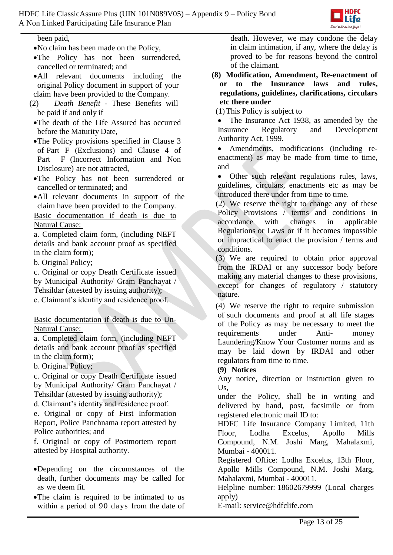

been paid,

- No claim has been made on the Policy,
- The Policy has not been surrendered, cancelled or terminated; and
- All relevant documents including the original Policy document in support of your claim have been provided to the Company.
- (2) *Death Benefit*  These Benefits will be paid if and only if
	- The death of the Life Assured has occurred before the Maturity Date,
	- The Policy provisions specified in Clause 3 of Part F (Exclusions) and Clause 4 of Part F (Incorrect Information and Non Disclosure) are not attracted,
	- The Policy has not been surrendered or cancelled or terminated; and
	- All relevant documents in support of the claim have been provided to the Company.

Basic documentation if death is due to Natural Cause:

a. Completed claim form, (including NEFT details and bank account proof as specified in the claim form);

b. Original Policy;

c. Original or copy Death Certificate issued by Municipal Authority/ Gram Panchayat / Tehsildar (attested by issuing authority);

e. Claimant's identity and residence proof.

Basic documentation if death is due to Un-Natural Cause:

a. Completed claim form, (including NEFT details and bank account proof as specified in the claim form);

b. Original Policy;

c. Original or copy Death Certificate issued by Municipal Authority/ Gram Panchayat / Tehsildar (attested by issuing authority);

d. Claimant's identity and residence proof.

e. Original or copy of First Information Report, Police Panchnama report attested by Police authorities; and

f. Original or copy of Postmortem report attested by Hospital authority.

- Depending on the circumstances of the death, further documents may be called for as we deem fit.
- The claim is required to be intimated to us within a period of 90 days from the date of

death. However, we may condone the delay in claim intimation, if any, where the delay is proved to be for reasons beyond the control of the claimant.

**(8) Modification, Amendment, Re-enactment of or to the Insurance laws and rules, regulations, guidelines, clarifications, circulars etc there under**

(1)This Policy is subject to

• The Insurance Act 1938, as amended by the Insurance Regulatory and Development Authority Act, 1999.

 Amendments, modifications (including reenactment) as may be made from time to time, and

 Other such relevant regulations rules, laws, guidelines, circulars, enactments etc as may be introduced there under from time to time.

(2) We reserve the right to change any of these Policy Provisions / terms and conditions in accordance with changes in applicable Regulations or Laws or if it becomes impossible or impractical to enact the provision / terms and conditions.

(3) We are required to obtain prior approval from the IRDAI or any successor body before making any material changes to these provisions, except for changes of regulatory / statutory nature.

(4) We reserve the right to require submission of such documents and proof at all life stages of the Policy as may be necessary to meet the requirements under Anti- money Laundering/Know Your Customer norms and as may be laid down by IRDAI and other regulators from time to time.

### **(9) Notices**

Any notice, direction or instruction given to Us,

under the Policy, shall be in writing and delivered by hand, post, facsimile or from registered electronic mail ID to:

HDFC Life Insurance Company Limited, 11th Floor, Lodha Excelus, Apollo Mills Compound, N.M. Joshi Marg, Mahalaxmi, Mumbai - 400011.

Registered Office: Lodha Excelus, 13th Floor, Apollo Mills Compound, N.M. Joshi Marg, Mahalaxmi, Mumbai - 400011.

Helpline number: 18602679999 (Local charges apply)

E[-mail: service@hdfclife.com](mailto:mail:%20service@hdfclife.com)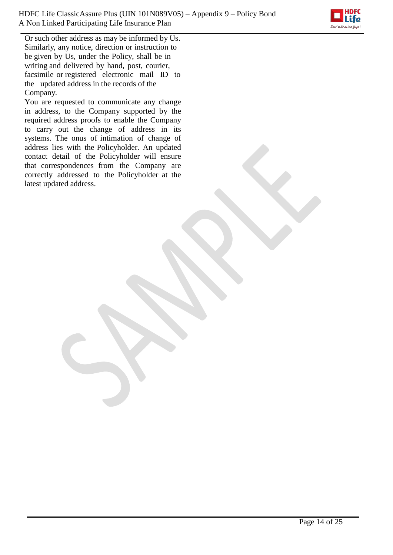

Or such other address as may be informed by Us. Similarly, any notice, direction or instruction to be given by Us, under the Policy, shall be in writing and delivered by hand, post, courier, facsimile or registered electronic mail ID to the updated address in the records of the Company.

You are requested to communicate any change in address, to the Company supported by the required address proofs to enable the Company to carry out the change of address in its systems. The onus of intimation of change of address lies with the Policyholder. An updated contact detail of the Policyholder will ensure that correspondences from the Company are correctly addressed to the Policyholder at the latest updated address.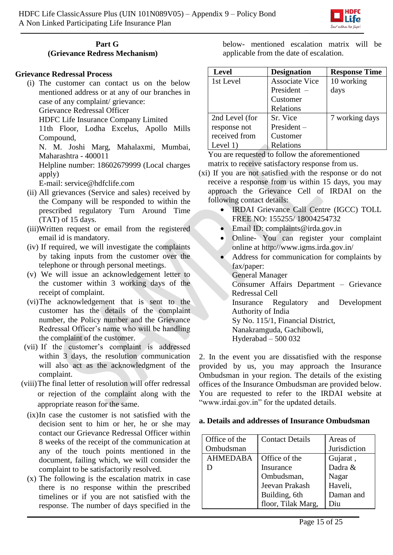

#### **Part G (Grievance Redress Mechanism)**

### **Grievance Redressal Process**

(i) The customer can contact us on the below mentioned address or at any of our branches in case of any complaint/ grievance:

Grievance Redressal Officer

HDFC Life Insurance Company Limited

11th Floor, Lodha Excelus, Apollo Mills Compound,

N. M. Joshi Marg, Mahalaxmi, Mumbai, Maharashtra - 400011

Helpline number: 18602679999 (Local charges apply)

E-mail: [service@hdfclife.com](mailto:service@hdfclife.com)

- (ii) All grievances (Service and sales) received by the Company will be responded to within the prescribed regulatory Turn Around Time (TAT) of 15 days.
- (iii)Written request or email from the registered email id is mandatory.
- (iv) If required, we will investigate the complaints by taking inputs from the customer over the telephone or through personal meetings.
- (v) We will issue an acknowledgement letter to the customer within 3 working days of the receipt of complaint.
- (vi)The acknowledgement that is sent to the customer has the details of the complaint number, the Policy number and the Grievance Redressal Officer's name who will be handling the complaint of the customer.
- (vii) If the customer's complaint is addressed within 3 days, the resolution communication will also act as the acknowledgment of the complaint.
- (viii)The final letter of resolution will offer redressal or rejection of the complaint along with the appropriate reason for the same.
	- (ix)In case the customer is not satisfied with the decision sent to him or her, he or she may contact our Grievance Redressal Officer within 8 weeks of the receipt of the communication at any of the touch points mentioned in the document, failing which, we will consider the complaint to be satisfactorily resolved.
	- (x) The following is the escalation matrix in case there is no response within the prescribed timelines or if you are not satisfied with the response. The number of days specified in the

below- mentioned escalation matrix will be applicable from the date of escalation.

| <b>Level</b>   | <b>Designation</b>    | <b>Response Time</b> |
|----------------|-----------------------|----------------------|
| 1st Level      | <b>Associate Vice</b> | 10 working           |
|                | President $-$         | days                 |
|                | Customer              |                      |
|                | Relations             |                      |
| 2nd Level (for | Sr. Vice              | 7 working days       |
| response not   | $President -$         |                      |
| received from  | Customer              |                      |
| Level 1)       | Relations             |                      |

You are requested to follow the aforementioned matrix to receive satisfactory response from us.

- (xi) If you are not satisfied with the response or do not receive a response from us within 15 days, you may approach the Grievance Cell of IRDAI on the following contact details:
	- IRDAI Grievance Call Centre (IGCC) TOLL FREE NO: 155255/ 18004254732
	- Email ID: complaints@irda.gov.in
	- Online- You can register your complaint online at http://www.igms.irda.gov.in/
	- Address for communication for complaints by fax/paper: General Manager
		- Consumer Affairs Department Grievance Redressal Cell
		- Insurance Regulatory and Development Authority of India

Sy No. 115/1, Financial District,

Nanakramguda, Gachibowli,

Hyderabad – 500 032

2. In the event you are dissatisfied with the response provided by us, you may approach the Insurance Ombudsman in your region. The details of the existing offices of the Insurance Ombudsman are provided below. You are requested to refer to the IRDAI website at "www.irdai.gov.in" for the updated details.

### **a. Details and addresses of Insurance Ombudsman**

| Office of the   | <b>Contact Details</b> | Areas of     |
|-----------------|------------------------|--------------|
| Ombudsman       |                        | Jurisdiction |
| <b>AHMEDABA</b> | Office of the          | Gujarat,     |
|                 | Insurance              | Dadra &      |
|                 | Ombudsman,             | Nagar        |
|                 | Jeevan Prakash         | Haveli,      |
|                 | Building, 6th          | Daman and    |
|                 | floor, Tilak Marg,     | Diu          |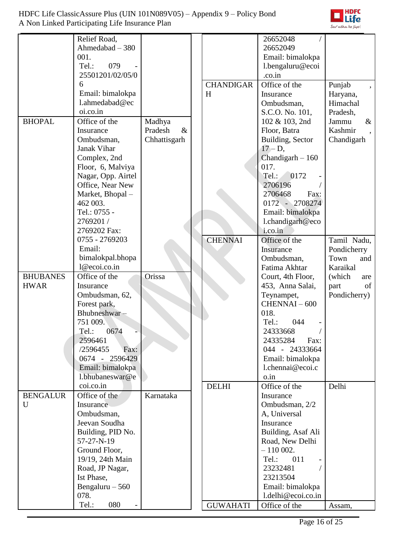

|                 | Relief Road,       |                 |                  | 26652048           |               |
|-----------------|--------------------|-----------------|------------------|--------------------|---------------|
|                 | Ahmedabad - 380    |                 |                  | 26652049           |               |
|                 | 001.               |                 |                  | Email: bimalokpa   |               |
|                 | Tel.:<br>079       |                 |                  | l.bengaluru@ecoi   |               |
|                 | 25501201/02/05/0   |                 |                  | .co.in             |               |
|                 | 6                  |                 | <b>CHANDIGAR</b> | Office of the      | Punjab        |
|                 | Email: bimalokpa   |                 | H                | Insurance          | Haryana,      |
|                 | l.ahmedabad@ec     |                 |                  | Ombudsman,         | Himachal      |
|                 | oi.co.in           |                 |                  | S.C.O. No. 101,    | Pradesh,      |
| <b>BHOPAL</b>   | Office of the      | Madhya          |                  | 102 & 103, 2nd     | Jammu<br>$\&$ |
|                 | Insurance          | Pradesh<br>$\&$ |                  | Floor, Batra       | Kashmir       |
|                 | Ombudsman,         | Chhattisgarh    |                  | Building, Sector   | Chandigarh    |
|                 | Janak Vihar        |                 |                  | $17 - D$ ,         |               |
|                 | Complex, 2nd       |                 |                  | Chandigarh $-160$  |               |
|                 | Floor, 6, Malviya  |                 |                  | 017.               |               |
|                 | Nagar, Opp. Airtel |                 |                  | Tel.:<br>0172      |               |
|                 | Office, Near New   |                 |                  | 2706196            |               |
|                 | Market, Bhopal -   |                 |                  | 2706468<br>Fax:    |               |
|                 | 462 003.           |                 |                  | 0172 - 2708274     |               |
|                 | Tel.: 0755 -       |                 |                  | Email: bimalokpa   |               |
|                 | 2769201 /          |                 |                  | l.chandigarh@eco   |               |
|                 | 2769202 Fax:       |                 |                  | i.co.in            |               |
|                 | 0755 - 2769203     |                 | <b>CHENNAI</b>   | Office of the      | Tamil Nadu,   |
|                 | Email:             |                 |                  | Insurance          | Pondicherry   |
|                 | bimalokpal.bhopa   |                 |                  | Ombudsman,         | Town<br>and   |
|                 | 1@ecoi.co.in       |                 |                  | Fatima Akhtar      | Karaikal      |
| <b>BHUBANES</b> | Office of the      | <b>Orissa</b>   |                  | Court, 4th Floor,  | (which<br>are |
| <b>HWAR</b>     | Insurance          |                 |                  | 453, Anna Salai,   | of<br>part    |
|                 | Ombudsman, 62,     |                 |                  | Teynampet,         | Pondicherry)  |
|                 | Forest park,       |                 |                  | $CHENNAI - 600$    |               |
|                 | Bhubneshwar-       |                 |                  | 018.               |               |
|                 | 751 009.           |                 |                  | Tel.:<br>044       |               |
|                 | 0674<br>Tel.:      |                 |                  | 24333668           |               |
|                 | 2596461            |                 |                  | 24335284<br>Fax:   |               |
|                 | /2596455<br>Fax:   |                 |                  | 044 - 24333664     |               |
|                 | 0674 - 2596429     |                 |                  | Email: bimalokpa   |               |
|                 | Email: bimalokpa   |                 |                  | l.chennai@ecoi.c   |               |
|                 | l.bhubaneswar@e    |                 |                  | o.in               |               |
|                 | coi.co.in          |                 | <b>DELHI</b>     | Office of the      | Delhi         |
| <b>BENGALUR</b> | Office of the      | Karnataka       |                  | Insurance          |               |
| U               | Insurance          |                 |                  | Ombudsman, 2/2     |               |
|                 | Ombudsman,         |                 |                  | A, Universal       |               |
|                 | Jeevan Soudha      |                 |                  | Insurance          |               |
|                 | Building, PID No.  |                 |                  | Building, Asaf Ali |               |
|                 | 57-27-N-19         |                 |                  | Road, New Delhi    |               |
|                 | Ground Floor,      |                 |                  | $-110002$ .        |               |
|                 | 19/19, 24th Main   |                 |                  | 011<br>Tel.:       |               |
|                 | Road, JP Nagar,    |                 |                  | 23232481           |               |
|                 | Ist Phase,         |                 |                  | 23213504           |               |
|                 | Bengaluru $-560$   |                 |                  | Email: bimalokpa   |               |
|                 | 078.               |                 |                  | l.delhi@ecoi.co.in |               |
|                 | Tel.:<br>080       |                 | <b>GUWAHATI</b>  | Office of the      | Assam,        |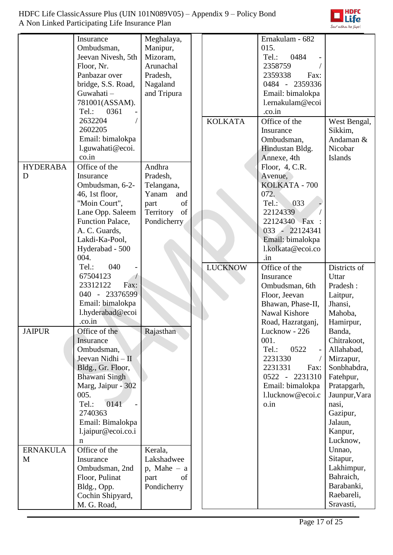

|                 | Insurance          | Meghalaya,       |                | Ernakulam - 682                    |                     |
|-----------------|--------------------|------------------|----------------|------------------------------------|---------------------|
|                 | Ombudsman,         | Manipur,         |                | 015.                               |                     |
|                 | Jeevan Nivesh, 5th | Mizoram,         |                | Tel.:<br>0484                      |                     |
|                 | Floor, Nr.         | Arunachal        |                | 2358759                            |                     |
|                 | Panbazar over      | Pradesh,         |                | 2359338<br>Fax:                    |                     |
|                 | bridge, S.S. Road, | Nagaland         |                | 0484 - 2359336                     |                     |
|                 | Guwahati-          | and Tripura      |                | Email: bimalokpa                   |                     |
|                 | 781001(ASSAM).     |                  |                | l.ernakulam@ecoi                   |                     |
|                 | Tel.: 0361         |                  |                | .co.in                             |                     |
|                 | 2632204            |                  | <b>KOLKATA</b> | Office of the                      | West Bengal,        |
|                 | 2602205            |                  |                | Insurance                          | Sikkim,             |
|                 | Email: bimalokpa   |                  |                | Ombudsman,                         | Andaman &           |
|                 | l.guwahati@ecoi.   |                  |                | Hindustan Bldg.                    | Nicobar             |
|                 | co.in              |                  |                | Annexe, 4th                        | Islands             |
| <b>HYDERABA</b> | Office of the      | Andhra           |                | Floor, 4, C.R.                     |                     |
| D               | Insurance          | Pradesh,         |                | Avenue,                            |                     |
|                 | Ombudsman, 6-2-    | Telangana,       |                | KOLKATA - 700                      |                     |
|                 | 46, 1st floor,     | Yanam<br>and     |                | 072.                               |                     |
|                 | "Moin Court",      | of<br>part       |                | 033<br>Tel.                        |                     |
|                 | Lane Opp. Saleem   | of<br>Territory  |                | 22124339                           |                     |
|                 | Function Palace,   | Pondicherry      |                | 22124340 Fax:                      |                     |
|                 | A. C. Guards,      |                  |                | 033 - 22124341                     |                     |
|                 | Lakdi-Ka-Pool,     |                  |                | Email: bimalokpa                   |                     |
|                 | Hyderabad - 500    |                  |                | l.kolkata@ecoi.co                  |                     |
|                 | 004.               |                  |                | .in                                |                     |
|                 | Tel.:<br>040       |                  | <b>LUCKNOW</b> | Office of the                      | Districts of        |
|                 | 67504123           |                  |                | Insurance                          | Uttar               |
|                 | 23312122<br>Fax:   |                  |                | Ombudsman, 6th                     | Pradesh:            |
|                 | 040 - 23376599     |                  |                |                                    |                     |
|                 | Email: bimalokpa   |                  |                | Floor, Jeevan<br>Bhawan, Phase-II, | Laitpur,<br>Jhansi, |
|                 | l.hyderabad@ecoi   |                  |                | Nawal Kishore                      |                     |
|                 | .co.in             |                  |                |                                    | Mahoba,             |
|                 | Office of the      |                  |                | Road, Hazratganj,<br>Lucknow - 226 | Hamirpur,           |
| <b>JAIPUR</b>   |                    | Rajasthan        |                | 001.                               | Banda,              |
|                 | Insurance          |                  |                |                                    | Chitrakoot,         |
|                 | Ombudsman,         |                  |                | Tel.:<br>0522                      | Allahabad,          |
|                 | Jeevan Nidhi - II  |                  |                | 2231330                            | Mirzapur,           |
|                 | Bldg., Gr. Floor,  |                  |                | 2231331<br>Fax:                    | Sonbhabdra,         |
|                 | Bhawani Singh      |                  |                | 0522 - 2231310                     | Fatehpur,           |
|                 | Marg, Jaipur - 302 |                  |                | Email: bimalokpa                   | Pratapgarh,         |
|                 | 005.               |                  |                | l.lucknow@ecoi.c                   | Jaunpur, Vara       |
|                 | 0141<br>Tel.:      |                  |                | o.in                               | nasi,               |
|                 | 2740363            |                  |                |                                    | Gazipur,            |
|                 | Email: Bimalokpa   |                  |                |                                    | Jalaun,             |
|                 | l.jaipur@ecoi.co.i |                  |                |                                    | Kanpur,             |
|                 | n                  |                  |                |                                    | Lucknow,            |
| <b>ERNAKULA</b> | Office of the      | Kerala,          |                |                                    | Unnao,              |
| M               | Insurance          | Lakshadwee       |                |                                    | Sitapur,            |
|                 | Ombudsman, 2nd     | $p$ , Mahe $- a$ |                |                                    | Lakhimpur,          |
|                 | Floor, Pulinat     | part<br>of       |                |                                    | Bahraich,           |
|                 | Bldg., Opp.        | Pondicherry      |                |                                    | Barabanki,          |
|                 | Cochin Shipyard,   |                  |                |                                    | Raebareli,          |
|                 | M. G. Road,        |                  |                |                                    | Sravasti,           |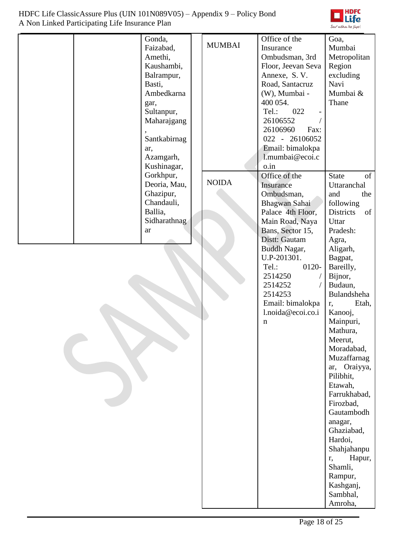

| Gonda,<br>Faizabad,<br>Amethi,<br>Kaushambi,<br>Balrampur,<br>Basti,<br>Ambedkarna<br>gar,<br>Sultanpur,<br>Maharajgang<br>Santkabirnag<br>ar,<br>Azamgarh,<br>Kushinagar,<br>Gorkhpur, | <b>MUMBAI</b> | Office of the<br>Insurance<br>Ombudsman, 3rd<br>Floor, Jeevan Seva<br>Annexe, S.V.<br>Road, Santacruz<br>(W), Mumbai -<br>400 054.<br>Tel.:<br>022<br>26106552<br>26106960<br>Fax:<br>022 - 26106052<br>Email: bimalokpa<br>l.mumbai@ecoi.c<br>o.in<br>Office of the | Goa,<br>Mumbai<br>Metropolitan<br>Region<br>excluding<br>Navi<br>Mumbai &<br>Thane<br><b>State</b><br>of                                                                                                                                                                                                                                                                                                                                                                           |
|-----------------------------------------------------------------------------------------------------------------------------------------------------------------------------------------|---------------|----------------------------------------------------------------------------------------------------------------------------------------------------------------------------------------------------------------------------------------------------------------------|------------------------------------------------------------------------------------------------------------------------------------------------------------------------------------------------------------------------------------------------------------------------------------------------------------------------------------------------------------------------------------------------------------------------------------------------------------------------------------|
| Deoria, Mau,<br>Ghazipur,<br>Chandauli,<br>Ballia,<br>Sidharathnag<br>ar                                                                                                                | <b>NOIDA</b>  | Insurance<br>Ombudsman,<br>Bhagwan Sahai<br>Palace 4th Floor,<br>Main Road, Naya<br>Bans, Sector 15,<br>Distt: Gautam<br>Buddh Nagar,<br>U.P-201301.<br>0120-<br>Tel.:<br>2514250<br>2514252<br>2514253<br>Email: bimalokpa<br>l.noida@ecoi.co.i<br>n                | Uttaranchal<br>the<br>and<br>following<br><b>Districts</b><br>of<br>Uttar<br>Pradesh:<br>Agra,<br>Aligarh,<br>Bagpat,<br>Bareilly,<br>Bijnor,<br>Budaun,<br>Bulandsheha<br>Etah,<br>r,<br>Kanooj,<br>Mainpuri,<br>Mathura,<br>Meerut,<br>Moradabad,<br>Muzaffarnag<br>ar, Oraiyya,<br>Pilibhit,<br>Etawah,<br>Farrukhabad,<br>Firozbad,<br>Gautambodh<br>anagar,<br>Ghaziabad,<br>Hardoi,<br>Shahjahanpu<br>Hapur,<br>r,<br>Shamli,<br>Rampur,<br>Kashganj,<br>Sambhal,<br>Amroha, |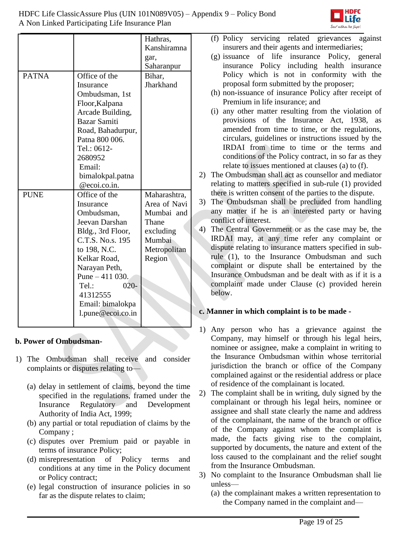

|              |                   | Hathras,     |
|--------------|-------------------|--------------|
|              |                   | Kanshiramna  |
|              |                   | gar,         |
|              |                   | Saharanpur   |
| <b>PATNA</b> | Office of the     | Bihar,       |
|              | Insurance         | Jharkhand    |
|              | Ombudsman, 1st    |              |
|              | Floor, Kalpana    |              |
|              | Arcade Building,  |              |
|              | Bazar Samiti      |              |
|              | Road, Bahadurpur, |              |
|              | Patna 800 006.    |              |
|              | Tel.: 0612-       |              |
|              | 2680952           |              |
|              | Email:            |              |
|              | bimalokpal.patna  |              |
|              | @ecoi.co.in.      |              |
| <b>PUNE</b>  | Office of the     | Maharashtra, |
|              | Insurance         | Area of Navi |
|              | Ombudsman,        | Mumbai and   |
|              | Jeevan Darshan    | Thane        |
|              | Bldg., 3rd Floor, | excluding    |
|              | C.T.S. No.s. 195  | Mumbai       |
|              | to 198, N.C.      | Metropolitan |
|              | Kelkar Road,      | Region       |
|              | Narayan Peth,     |              |
|              | Pune $-411$ 030.  |              |
|              | $020-$<br>Tel:    |              |
|              | 41312555          |              |
|              | Email: bimalokpa  |              |
|              | l.pune@ecoi.co.in |              |
|              |                   |              |

# **b. Power of Ombudsman-**

- 1) The Ombudsman shall receive and consider complaints or disputes relating to—
	- (a) delay in settlement of claims, beyond the time specified in the regulations, framed under the Insurance Regulatory and Development Authority of India Act, 1999;
	- (b) any partial or total repudiation of claims by the Company ;
	- (c) disputes over Premium paid or payable in terms of insurance Policy;
	- (d) misrepresentation of Policy terms and conditions at any time in the Policy document or Policy contract;
	- (e) legal construction of insurance policies in so far as the dispute relates to claim;
- (f) Policy servicing related grievances against insurers and their agents and intermediaries;
- (g) issuance of life insurance Policy, general insurance Policy including health insurance Policy which is not in conformity with the proposal form submitted by the proposer;
- (h) non-issuance of insurance Policy after receipt of Premium in life insurance; and
- (i) any other matter resulting from the violation of provisions of the Insurance Act, 1938, as amended from time to time, or the regulations, circulars, guidelines or instructions issued by the IRDAI from time to time or the terms and conditions of the Policy contract, in so far as they relate to issues mentioned at clauses (a) to (f).
- 2) The Ombudsman shall act as counsellor and mediator relating to matters specified in sub-rule (1) provided there is written consent of the parties to the dispute.
- 3) The Ombudsman shall be precluded from handling any matter if he is an interested party or having conflict of interest.
- 4) The Central Government or as the case may be, the IRDAI may, at any time refer any complaint or dispute relating to insurance matters specified in subrule (1), to the Insurance Ombudsman and such complaint or dispute shall be entertained by the Insurance Ombudsman and be dealt with as if it is a complaint made under Clause (c) provided herein below.

# **c. Manner in which complaint is to be made -**

- 1) Any person who has a grievance against the Company, may himself or through his legal heirs, nominee or assignee, make a complaint in writing to the Insurance Ombudsman within whose territorial jurisdiction the branch or office of the Company complained against or the residential address or place of residence of the complainant is located.
- 2) The complaint shall be in writing, duly signed by the complainant or through his legal heirs, nominee or assignee and shall state clearly the name and address of the complainant, the name of the branch or office of the Company against whom the complaint is made, the facts giving rise to the complaint, supported by documents, the nature and extent of the loss caused to the complainant and the relief sought from the Insurance Ombudsman.
- 3) No complaint to the Insurance Ombudsman shall lie unless—
	- (a) the complainant makes a written representation to the Company named in the complaint and—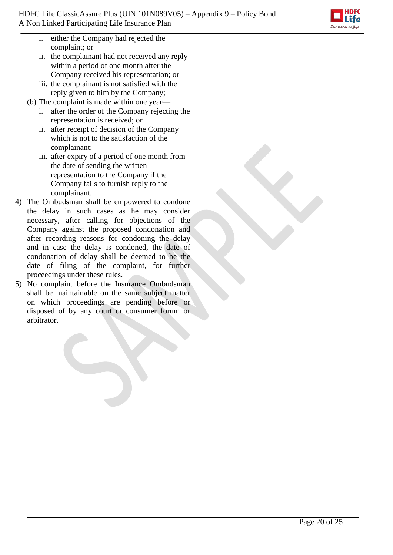- i. either the Company had rejected the complaint; or
- ii. the complainant had not received any reply within a period of one month after the Company received his representation; or
- iii. the complainant is not satisfied with the reply given to him by the Company;
- (b) The complaint is made within one year
	- i. after the order of the Company rejecting the representation is received; or
	- ii. after receipt of decision of the Company which is not to the satisfaction of the complainant;
	- iii. after expiry of a period of one month from the date of sending the written representation to the Company if the Company fails to furnish reply to the complainant.
- 4) The Ombudsman shall be empowered to condone the delay in such cases as he may consider necessary, after calling for objections of the Company against the proposed condonation and after recording reasons for condoning the delay and in case the delay is condoned, the date of condonation of delay shall be deemed to be the date of filing of the complaint, for further proceedings under these rules.
- 5) No complaint before the Insurance Ombudsman shall be maintainable on the same subject matter on which proceedings are pending before or disposed of by any court or consumer forum or arbitrator.

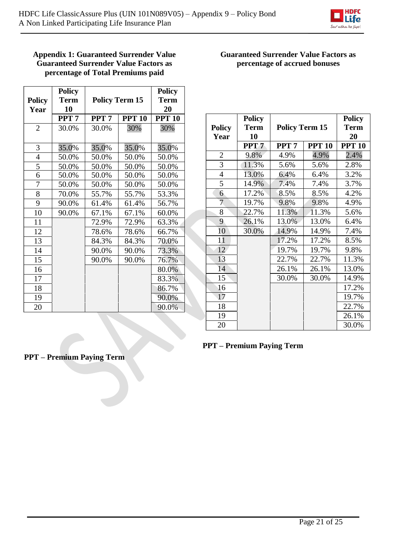

### **Appendix 1: Guaranteed Surrender Value Guaranteed Surrender Value Factors as percentage of Total Premiums paid**

|                | <b>Policy</b>    |                  |                       | <b>Policy</b> |  |
|----------------|------------------|------------------|-----------------------|---------------|--|
| <b>Policy</b>  | <b>Term</b>      |                  | <b>Policy Term 15</b> | <b>Term</b>   |  |
| Year           | 10               |                  |                       | 20            |  |
|                | PPT <sub>7</sub> | PPT <sub>7</sub> | <b>PPT 10</b>         | <b>PPT 10</b> |  |
| $\overline{2}$ | 30.0%            | 30.0%            | 30%                   | 30%           |  |
|                |                  |                  |                       |               |  |
| 3              | 35.0%            | 35.0%            | 35.0%                 | 35.0%         |  |
| $\overline{4}$ | 50.0%            | 50.0%            | 50.0%                 | 50.0%         |  |
| 5              | 50.0%            | 50.0%            | 50.0%                 | 50.0%         |  |
| 6              | 50.0%            | 50.0%            | 50.0%                 | 50.0%         |  |
| 7              | 50.0%            | 50.0%            | 50.0%                 | 50.0%         |  |
| 8              | 70.0%            | 55.7%            | 55.7%                 | 53.3%         |  |
| 9              | 90.0%            | 61.4%            | 61.4%                 | 56.7%         |  |
| 10             | 90.0%            | 67.1%            | 67.1%                 | 60.0%         |  |
| 11             |                  | 72.9%            | 72.9%                 | 63.3%         |  |
| 12             |                  | 78.6%            | 78.6%                 | 66.7%         |  |
| 13             |                  | 84.3%            | 84.3%                 | 70.0%         |  |
| 14             |                  | 90.0%            | 90.0%                 | 73.3%         |  |
| 15             |                  | 90.0%            | 90.0%                 | 76.7%         |  |
| 16             |                  |                  |                       | 80.0%         |  |
| 17             |                  |                  |                       | 83.3%         |  |
| 18             |                  |                  |                       | 86.7%         |  |
| 19             |                  |                  |                       | 90.0%         |  |
| 20             |                  |                  |                       | 90.0%         |  |

# **Guaranteed Surrender Value Factors as percentage of accrued bonuses**

| <b>Policy</b><br>Year | <b>Policy</b><br><b>Term</b><br>10 | <b>Policy Term 15</b> |               | <b>Policy</b><br><b>Term</b><br>20 |
|-----------------------|------------------------------------|-----------------------|---------------|------------------------------------|
|                       | PPT <sub>7</sub>                   | PPT <sub>7</sub>      | <b>PPT 10</b> | <b>PPT 10</b>                      |
| $\overline{2}$        | 9.8%                               | 4.9%                  | 4.9%          | 2.4%                               |
| 3                     | 11.3%                              | 5.6%                  | 5.6%          | 2.8%                               |
| $\overline{4}$        | 13.0%                              | 6.4%                  | 6.4%          | 3.2%                               |
| 5                     | 14.9%                              | 7.4%                  | 7.4%          | 3.7%                               |
| 6                     | 17.2%                              | 8.5%                  | 8.5%          | 4.2%                               |
| 7                     | 19.7%                              | 9.8%                  | 9.8%          | 4.9%                               |
| 8                     | 22.7%                              | 11.3%                 | 11.3%         | 5.6%                               |
| 9                     | 26.1%                              | 13.0%                 | 13.0%         | 6.4%                               |
| 10                    | 30.0%                              | 14.9%                 | 14.9%         | 7.4%                               |
| 11                    |                                    | 17.2%                 | 17.2%         | 8.5%                               |
| 12                    |                                    | 19.7%                 | 19.7%         | 9.8%                               |
| 13                    |                                    | 22.7%                 | 22.7%         | 11.3%                              |
| 14                    |                                    | 26.1%                 | 26.1%         | 13.0%                              |
| 15                    |                                    | 30.0%                 | 30.0%         | 14.9%                              |
| 16                    |                                    |                       |               | 17.2%                              |
| 17                    |                                    |                       |               | 19.7%                              |
| 18                    |                                    |                       |               | 22.7%                              |
| 19                    |                                    |                       |               | 26.1%                              |
| 20                    |                                    |                       |               | 30.0%                              |

## **PPT – Premium Paying Term**

**PPT – Premium Paying Term**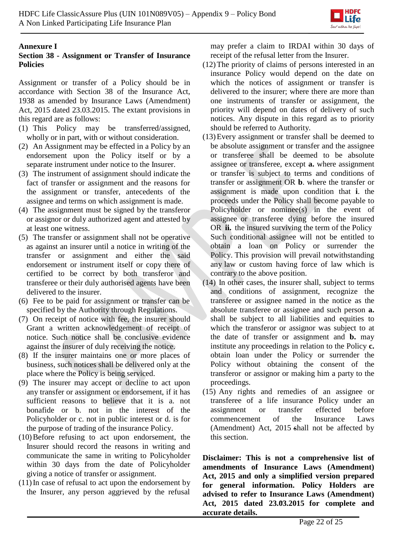

## **Annexure I**

# **Section 38 - Assignment or Transfer of Insurance Policies**

Assignment or transfer of a Policy should be in accordance with Section 38 of the Insurance Act, 1938 as amended by Insurance Laws (Amendment) Act, 2015 dated 23.03.2015. The extant provisions in this regard are as follows:

- (1) This Policy may be transferred/assigned, wholly or in part, with or without consideration.
- (2) An Assignment may be effected in a Policy by an endorsement upon the Policy itself or by a separate instrument under notice to the Insurer.
- (3) The instrument of assignment should indicate the fact of transfer or assignment and the reasons for the assignment or transfer, antecedents of the assignee and terms on which assignment is made.
- (4) The assignment must be signed by the transferor or assignor or duly authorized agent and attested by at least one witness.
- (5) The transfer or assignment shall not be operative as against an insurer until a notice in writing of the transfer or assignment and either the said endorsement or instrument itself or copy there of certified to be correct by both transferor and transferee or their duly authorised agents have been delivered to the insurer.
- (6) Fee to be paid for assignment or transfer can be specified by the Authority through Regulations.
- (7) On receipt of notice with fee, the insurer should Grant a written acknowledgement of receipt of notice. Such notice shall be conclusive evidence against the insurer of duly receiving the notice.
- (8) If the insurer maintains one or more places of business, such notices shall be delivered only at the place where the Policy is being serviced.
- (9) The insurer may accept or decline to act upon any transfer or assignment or endorsement, if it has sufficient reasons to believe that it is a. not bonafide or b. not in the interest of the Policyholder or c. not in public interest or d. is for the purpose of trading of the insurance Policy.
- (10)Before refusing to act upon endorsement, the Insurer should record the reasons in writing and communicate the same in writing to Policyholder within 30 days from the date of Policyholder giving a notice of transfer or assignment.
- (11)In case of refusal to act upon the endorsement by the Insurer, any person aggrieved by the refusal

may prefer a claim to IRDAI within 30 days of receipt of the refusal letter from the Insurer.

- (12)The priority of claims of persons interested in an insurance Policy would depend on the date on which the notices of assignment or transfer is delivered to the insurer; where there are more than one instruments of transfer or assignment, the priority will depend on dates of delivery of such notices. Any dispute in this regard as to priority should be referred to Authority.
- (13)Every assignment or transfer shall be deemed to be absolute assignment or transfer and the assignee or transferee shall be deemed to be absolute assignee or transferee, except **a.** where assignment or transfer is subject to terms and conditions of transfer or assignment OR **b**. where the transfer or assignment is made upon condition that **i**. the proceeds under the Policy shall become payable to Policyholder or nominee(s) in the event of assignee or transferee dying before the insured OR **ii.** the insured surviving the term of the Policy Such conditional assignee will not be entitled to obtain a loan on Policy or surrender the Policy. This provision will prevail notwithstanding any law or custom having force of law which is contrary to the above position.
- (14) In other cases, the insurer shall, subject to terms and conditions of assignment, recognize the transferee or assignee named in the notice as the absolute transferee or assignee and such person **a.**  shall be subject to all liabilities and equities to which the transferor or assignor was subject to at the date of transfer or assignment and **b.** may institute any proceedings in relation to the Policy **c.**  obtain loan under the Policy or surrender the Policy without obtaining the consent of the transferor or assignor or making him a party to the proceedings.
- (15) Any rights and remedies of an assignee or transferee of a life insurance Policy under an assignment or transfer effected before commencement of the Insurance Laws (Amendment) Act, 2015 shall not be affected by this section.

**Disclaimer: This is not a comprehensive list of amendments of Insurance Laws (Amendment) Act, 2015 and only a simplified version prepared for general information. Policy Holders are advised to refer to Insurance Laws (Amendment) Act, 2015 dated 23.03.2015 for complete and accurate details.**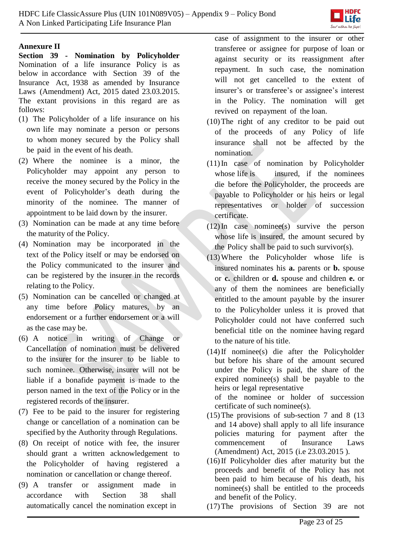

### **Annexure II**

**Section 39 - Nomination by Policyholder**  Nomination of a life insurance Policy is as below in accordance with Section 39 of the Insurance Act, 1938 as amended by Insurance Laws (Amendment) Act, 2015 dated 23.03.2015. The extant provisions in this regard are as follows:

- (1) The Policyholder of a life insurance on his own life may nominate a person or persons to whom money secured by the Policy shall be paid in the event of his death.
- (2) Where the nominee is a minor, the Policyholder may appoint any person to receive the money secured by the Policy in the event of Policyholder's death during the minority of the nominee. The manner of appointment to be laid down by the insurer.
- (3) Nomination can be made at any time before the maturity of the Policy.
- (4) Nomination may be incorporated in the text of the Policy itself or may be endorsed on the Policy communicated to the insurer and can be registered by the insurer in the records relating to the Policy.
- (5) Nomination can be cancelled or changed at any time before Policy matures, by endorsement or a further endorsement or a will as the case may be.
- (6) A notice in writing of Change or Cancellation of nomination must be delivered to the insurer for the insurer to be liable to such nominee. Otherwise, insurer will not be liable if a bonafide payment is made to the person named in the text of the Policy or in the registered records of the insurer.
- (7) Fee to be paid to the insurer for registering change or cancellation of a nomination can be specified by the Authority through Regulations.
- (8) On receipt of notice with fee, the insurer should grant a written acknowledgement to the Policyholder of having registered a nomination or cancellation or change thereof.
- (9) A transfer or assignment made in accordance with Section 38 shall automatically cancel the nomination except in

case of assignment to the insurer or other transferee or assignee for purpose of loan or against security or its reassignment after repayment. In such case, the nomination will not get cancelled to the extent of insurer's or transferee's or assignee's interest in the Policy. The nomination will get revived on repayment of the loan.

- (10)The right of any creditor to be paid out of the proceeds of any Policy of life insurance shall not be affected by the nomination.
- (11)In case of nomination by Policyholder whose life is insured, if the nominees die before the Policyholder, the proceeds are payable to Policyholder or his heirs or legal representatives or holder of succession certificate.
- (12)In case nominee(s) survive the person whose life is insured, the amount secured by the Policy shall be paid to such survivor(s).
- (13)Where the Policyholder whose life is insured nominates his **a.** parents or **b.** spouse or **c.** children or **d.** spouse and children **e.** or any of them the nominees are beneficially entitled to the amount payable by the insurer to the Policyholder unless it is proved that Policyholder could not have conferred such beneficial title on the nominee having regard to the nature of his title.
- (14)If nominee(s) die after the Policyholder but before his share of the amount secured under the Policy is paid, the share of the expired nominee(s) shall be payable to the heirs or legal representative

of the nominee or holder of succession certificate of such nominee(s).

- (15)The provisions of sub-section 7 and 8 (13 and 14 above) shall apply to all life insurance policies maturing for payment after the commencement of Insurance Laws (Amendment) Act, 2015 (i.e 23.03.2015 ).
- (16)If Policyholder dies after maturity but the proceeds and benefit of the Policy has not been paid to him because of his death, his nominee(s) shall be entitled to the proceeds and benefit of the Policy.
- (17)The provisions of Section 39 are not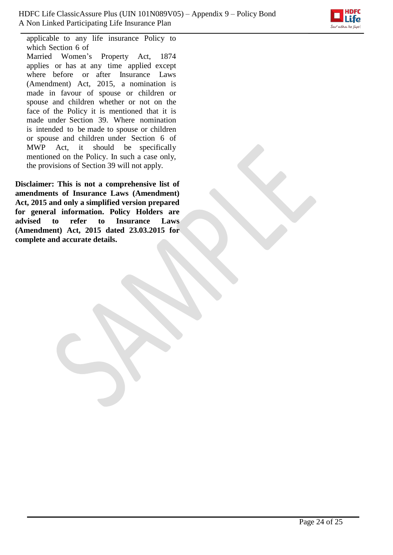

applicable to any life insurance Policy to which Section 6 of Married Women's Property Act, 1874 applies or has at any time applied except where before or after Insurance Laws (Amendment) Act, 2015, a nomination is made in favour of spouse or children or spouse and children whether or not on the face of the Policy it is mentioned that it is made under Section 39. Where nomination is intended to be made to spouse or children or spouse and children under Section 6 of MWP Act, it should be specifically mentioned on the Policy. In such a case only, the provisions of Section 39 will not apply.

**Disclaimer: This is not a comprehensive list of amendments of Insurance Laws (Amendment) Act, 2015 and only a simplified version prepared for general information. Policy Holders are advised to refer to Insurance Laws (Amendment) Act, 2015 dated 23.03.2015 for complete and accurate details.**